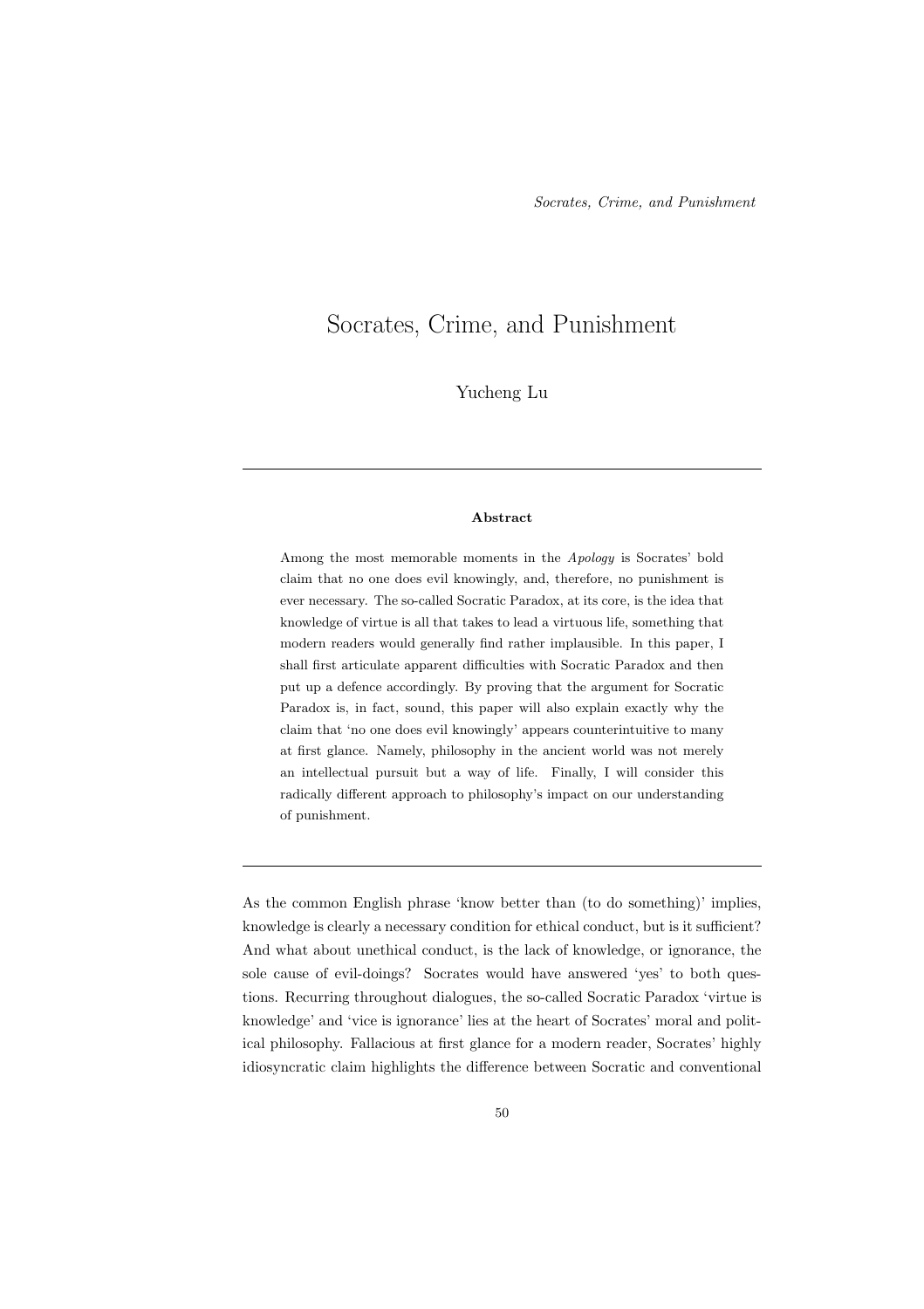# Socrates, Crime, and Punishment

Yucheng Lu

#### Abstract

Among the most memorable moments in the Apology is Socrates' bold claim that no one does evil knowingly, and, therefore, no punishment is ever necessary. The so-called Socratic Paradox, at its core, is the idea that knowledge of virtue is all that takes to lead a virtuous life, something that modern readers would generally find rather implausible. In this paper, I shall first articulate apparent difficulties with Socratic Paradox and then put up a defence accordingly. By proving that the argument for Socratic Paradox is, in fact, sound, this paper will also explain exactly why the claim that 'no one does evil knowingly' appears counterintuitive to many at first glance. Namely, philosophy in the ancient world was not merely an intellectual pursuit but a way of life. Finally, I will consider this radically different approach to philosophy's impact on our understanding of punishment.

As the common English phrase 'know better than (to do something)' implies, knowledge is clearly a necessary condition for ethical conduct, but is it sufficient? And what about unethical conduct, is the lack of knowledge, or ignorance, the sole cause of evil-doings? Socrates would have answered 'yes' to both questions. Recurring throughout dialogues, the so-called Socratic Paradox 'virtue is knowledge' and 'vice is ignorance' lies at the heart of Socrates' moral and political philosophy. Fallacious at first glance for a modern reader, Socrates' highly idiosyncratic claim highlights the difference between Socratic and conventional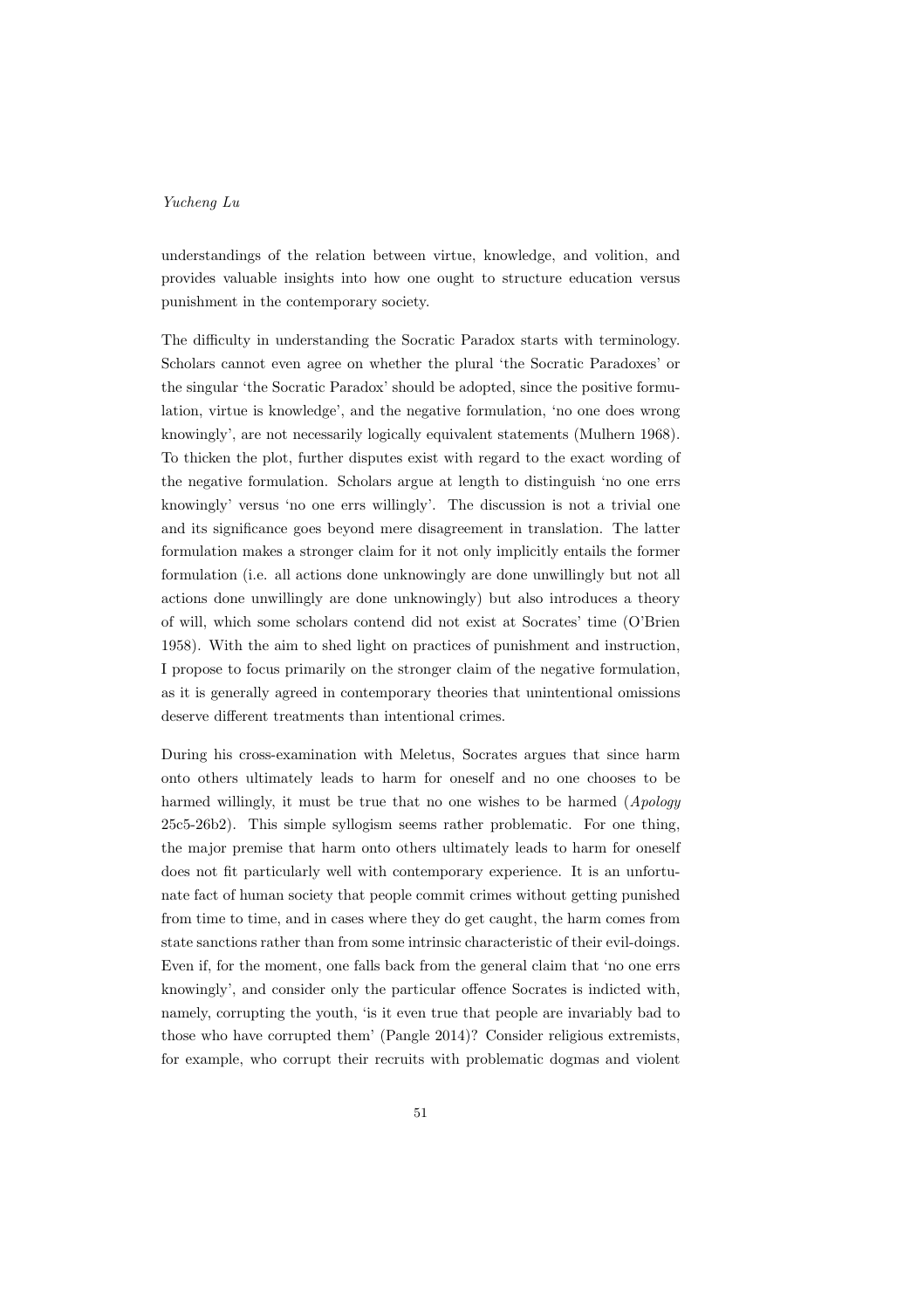understandings of the relation between virtue, knowledge, and volition, and provides valuable insights into how one ought to structure education versus punishment in the contemporary society.

The difficulty in understanding the Socratic Paradox starts with terminology. Scholars cannot even agree on whether the plural 'the Socratic Paradoxes' or the singular 'the Socratic Paradox' should be adopted, since the positive formulation, virtue is knowledge', and the negative formulation, 'no one does wrong knowingly', are not necessarily logically equivalent statements (Mulhern 1968). To thicken the plot, further disputes exist with regard to the exact wording of the negative formulation. Scholars argue at length to distinguish 'no one errs knowingly' versus 'no one errs willingly'. The discussion is not a trivial one and its significance goes beyond mere disagreement in translation. The latter formulation makes a stronger claim for it not only implicitly entails the former formulation (i.e. all actions done unknowingly are done unwillingly but not all actions done unwillingly are done unknowingly) but also introduces a theory of will, which some scholars contend did not exist at Socrates' time (O'Brien 1958). With the aim to shed light on practices of punishment and instruction, I propose to focus primarily on the stronger claim of the negative formulation, as it is generally agreed in contemporary theories that unintentional omissions deserve different treatments than intentional crimes.

During his cross-examination with Meletus, Socrates argues that since harm onto others ultimately leads to harm for oneself and no one chooses to be harmed willingly, it must be true that no one wishes to be harmed (Apology 25c5-26b2). This simple syllogism seems rather problematic. For one thing, the major premise that harm onto others ultimately leads to harm for oneself does not fit particularly well with contemporary experience. It is an unfortunate fact of human society that people commit crimes without getting punished from time to time, and in cases where they do get caught, the harm comes from state sanctions rather than from some intrinsic characteristic of their evil-doings. Even if, for the moment, one falls back from the general claim that 'no one errs knowingly', and consider only the particular offence Socrates is indicted with, namely, corrupting the youth, 'is it even true that people are invariably bad to those who have corrupted them' (Pangle 2014)? Consider religious extremists, for example, who corrupt their recruits with problematic dogmas and violent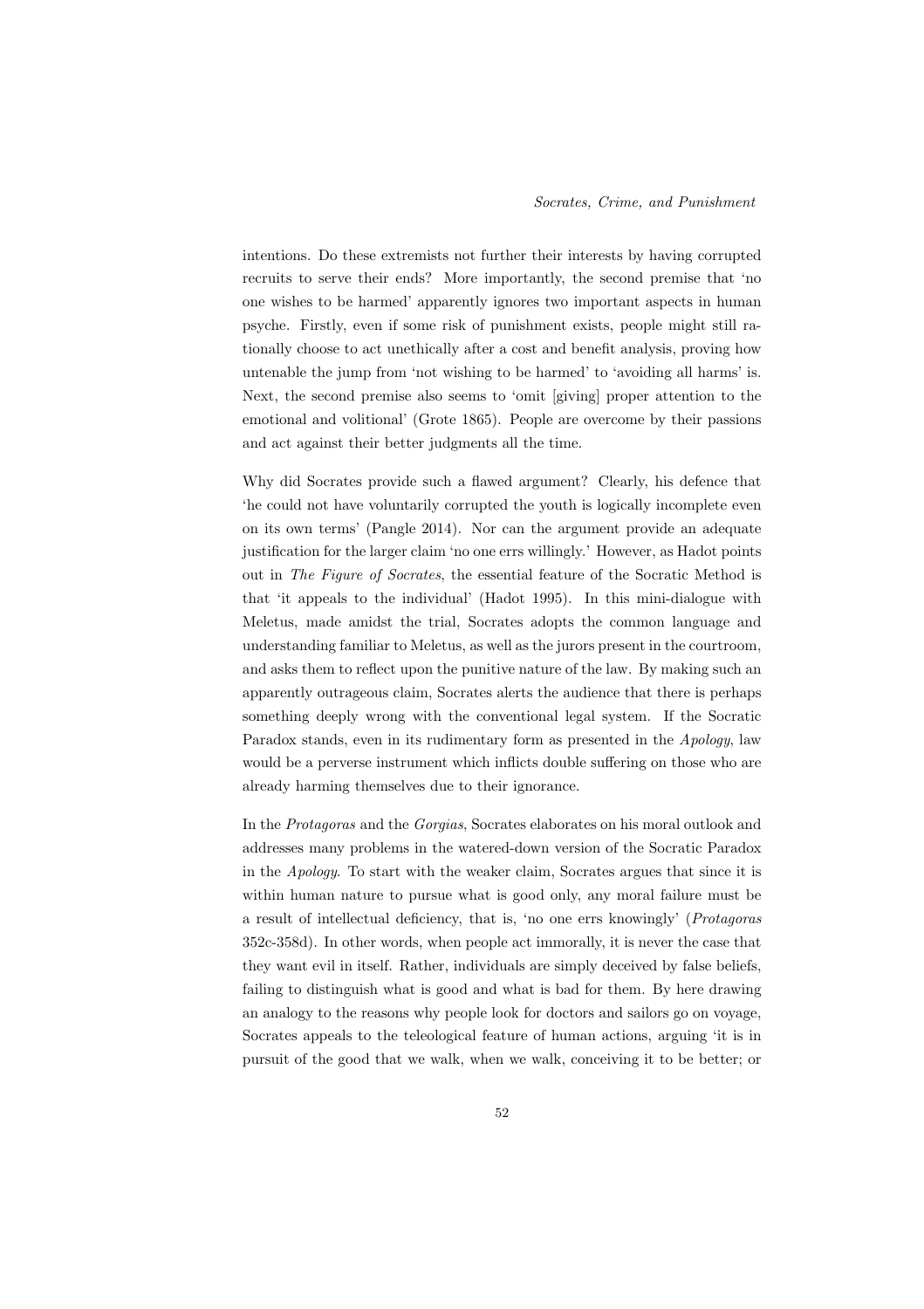intentions. Do these extremists not further their interests by having corrupted recruits to serve their ends? More importantly, the second premise that 'no one wishes to be harmed' apparently ignores two important aspects in human psyche. Firstly, even if some risk of punishment exists, people might still rationally choose to act unethically after a cost and benefit analysis, proving how untenable the jump from 'not wishing to be harmed' to 'avoiding all harms' is. Next, the second premise also seems to 'omit [giving] proper attention to the emotional and volitional' (Grote 1865). People are overcome by their passions and act against their better judgments all the time.

Why did Socrates provide such a flawed argument? Clearly, his defence that 'he could not have voluntarily corrupted the youth is logically incomplete even on its own terms' (Pangle 2014). Nor can the argument provide an adequate justification for the larger claim 'no one errs willingly.' However, as Hadot points out in The Figure of Socrates, the essential feature of the Socratic Method is that 'it appeals to the individual' (Hadot 1995). In this mini-dialogue with Meletus, made amidst the trial, Socrates adopts the common language and understanding familiar to Meletus, as well as the jurors present in the courtroom, and asks them to reflect upon the punitive nature of the law. By making such an apparently outrageous claim, Socrates alerts the audience that there is perhaps something deeply wrong with the conventional legal system. If the Socratic Paradox stands, even in its rudimentary form as presented in the Apology, law would be a perverse instrument which inflicts double suffering on those who are already harming themselves due to their ignorance.

In the Protagoras and the Gorgias, Socrates elaborates on his moral outlook and addresses many problems in the watered-down version of the Socratic Paradox in the Apology. To start with the weaker claim, Socrates argues that since it is within human nature to pursue what is good only, any moral failure must be a result of intellectual deficiency, that is, 'no one errs knowingly' (Protagoras 352c-358d). In other words, when people act immorally, it is never the case that they want evil in itself. Rather, individuals are simply deceived by false beliefs, failing to distinguish what is good and what is bad for them. By here drawing an analogy to the reasons why people look for doctors and sailors go on voyage, Socrates appeals to the teleological feature of human actions, arguing 'it is in pursuit of the good that we walk, when we walk, conceiving it to be better; or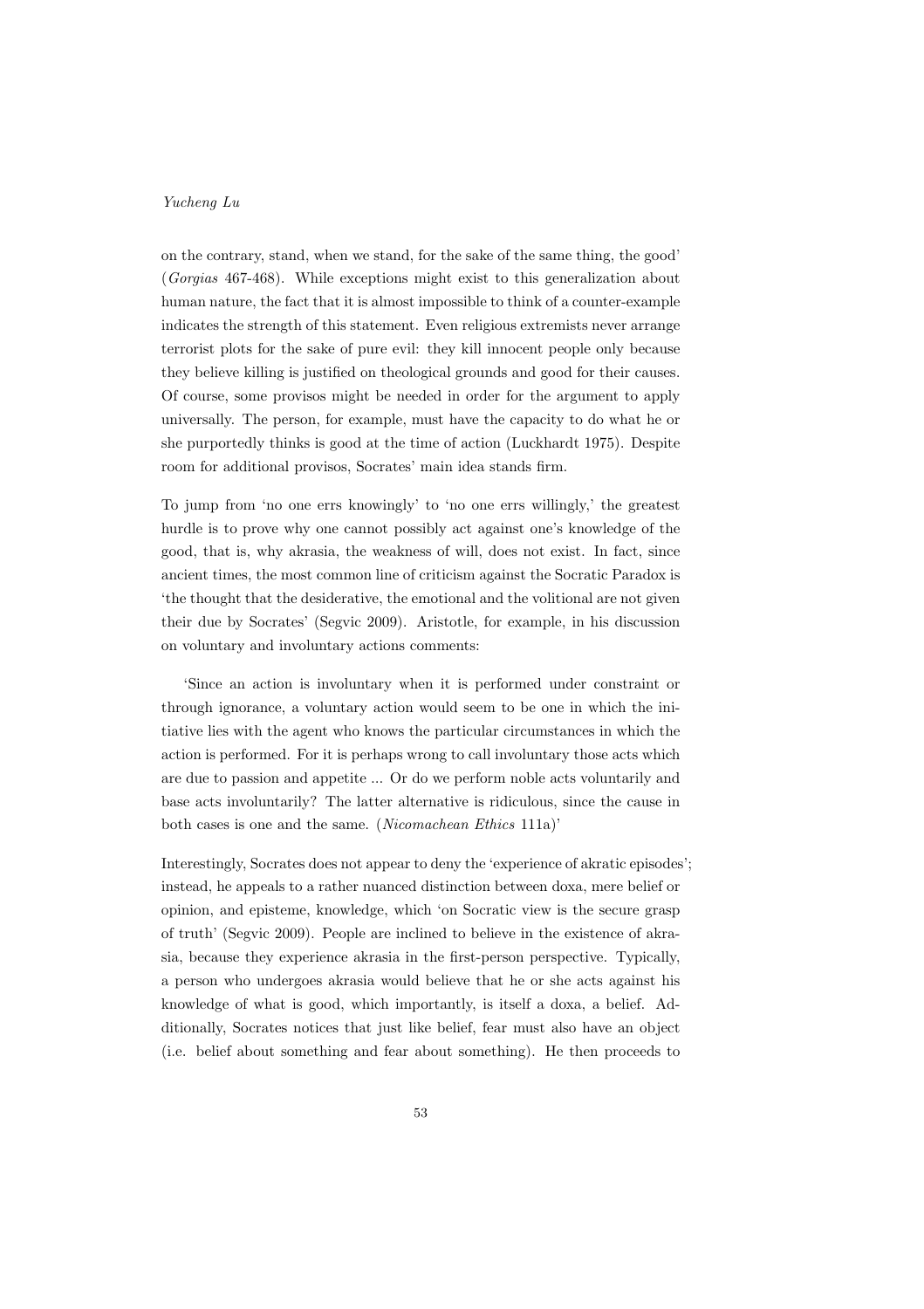on the contrary, stand, when we stand, for the sake of the same thing, the good' (Gorgias 467-468). While exceptions might exist to this generalization about human nature, the fact that it is almost impossible to think of a counter-example indicates the strength of this statement. Even religious extremists never arrange terrorist plots for the sake of pure evil: they kill innocent people only because they believe killing is justified on theological grounds and good for their causes. Of course, some provisos might be needed in order for the argument to apply universally. The person, for example, must have the capacity to do what he or she purportedly thinks is good at the time of action (Luckhardt 1975). Despite room for additional provisos, Socrates' main idea stands firm.

To jump from 'no one errs knowingly' to 'no one errs willingly,' the greatest hurdle is to prove why one cannot possibly act against one's knowledge of the good, that is, why akrasia, the weakness of will, does not exist. In fact, since ancient times, the most common line of criticism against the Socratic Paradox is 'the thought that the desiderative, the emotional and the volitional are not given their due by Socrates' (Segvic 2009). Aristotle, for example, in his discussion on voluntary and involuntary actions comments:

'Since an action is involuntary when it is performed under constraint or through ignorance, a voluntary action would seem to be one in which the initiative lies with the agent who knows the particular circumstances in which the action is performed. For it is perhaps wrong to call involuntary those acts which are due to passion and appetite ... Or do we perform noble acts voluntarily and base acts involuntarily? The latter alternative is ridiculous, since the cause in both cases is one and the same. (Nicomachean Ethics 111a)'

Interestingly, Socrates does not appear to deny the 'experience of akratic episodes'; instead, he appeals to a rather nuanced distinction between doxa, mere belief or opinion, and episteme, knowledge, which 'on Socratic view is the secure grasp of truth' (Segvic 2009). People are inclined to believe in the existence of akrasia, because they experience akrasia in the first-person perspective. Typically, a person who undergoes akrasia would believe that he or she acts against his knowledge of what is good, which importantly, is itself a doxa, a belief. Additionally, Socrates notices that just like belief, fear must also have an object (i.e. belief about something and fear about something). He then proceeds to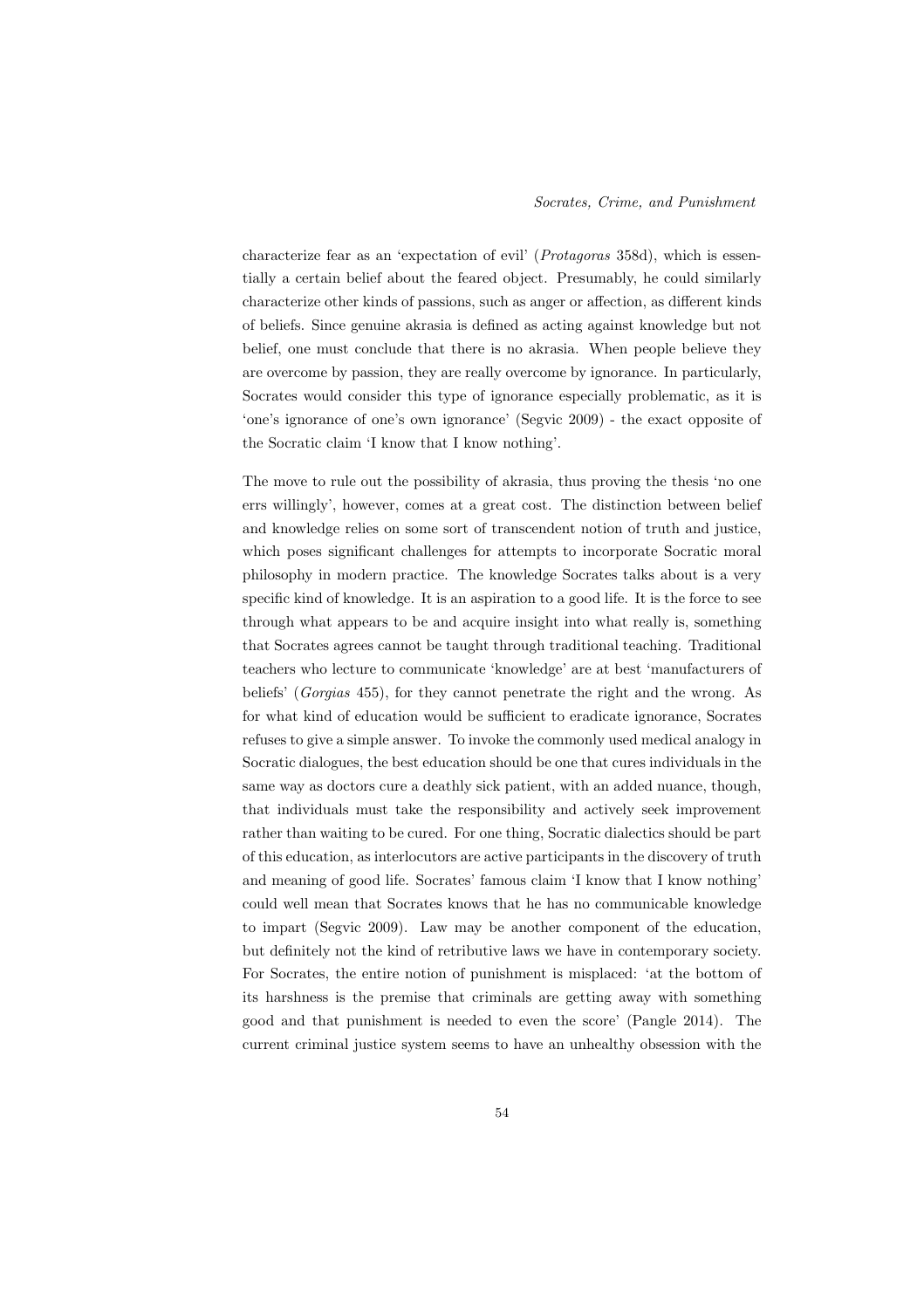characterize fear as an 'expectation of evil' (Protagoras 358d), which is essentially a certain belief about the feared object. Presumably, he could similarly characterize other kinds of passions, such as anger or affection, as different kinds of beliefs. Since genuine akrasia is defined as acting against knowledge but not belief, one must conclude that there is no akrasia. When people believe they are overcome by passion, they are really overcome by ignorance. In particularly, Socrates would consider this type of ignorance especially problematic, as it is 'one's ignorance of one's own ignorance' (Segvic 2009) - the exact opposite of the Socratic claim 'I know that I know nothing'.

The move to rule out the possibility of akrasia, thus proving the thesis 'no one errs willingly', however, comes at a great cost. The distinction between belief and knowledge relies on some sort of transcendent notion of truth and justice, which poses significant challenges for attempts to incorporate Socratic moral philosophy in modern practice. The knowledge Socrates talks about is a very specific kind of knowledge. It is an aspiration to a good life. It is the force to see through what appears to be and acquire insight into what really is, something that Socrates agrees cannot be taught through traditional teaching. Traditional teachers who lecture to communicate 'knowledge' are at best 'manufacturers of beliefs' (Gorgias 455), for they cannot penetrate the right and the wrong. As for what kind of education would be sufficient to eradicate ignorance, Socrates refuses to give a simple answer. To invoke the commonly used medical analogy in Socratic dialogues, the best education should be one that cures individuals in the same way as doctors cure a deathly sick patient, with an added nuance, though, that individuals must take the responsibility and actively seek improvement rather than waiting to be cured. For one thing, Socratic dialectics should be part of this education, as interlocutors are active participants in the discovery of truth and meaning of good life. Socrates' famous claim 'I know that I know nothing' could well mean that Socrates knows that he has no communicable knowledge to impart (Segvic 2009). Law may be another component of the education, but definitely not the kind of retributive laws we have in contemporary society. For Socrates, the entire notion of punishment is misplaced: 'at the bottom of its harshness is the premise that criminals are getting away with something good and that punishment is needed to even the score' (Pangle 2014). The current criminal justice system seems to have an unhealthy obsession with the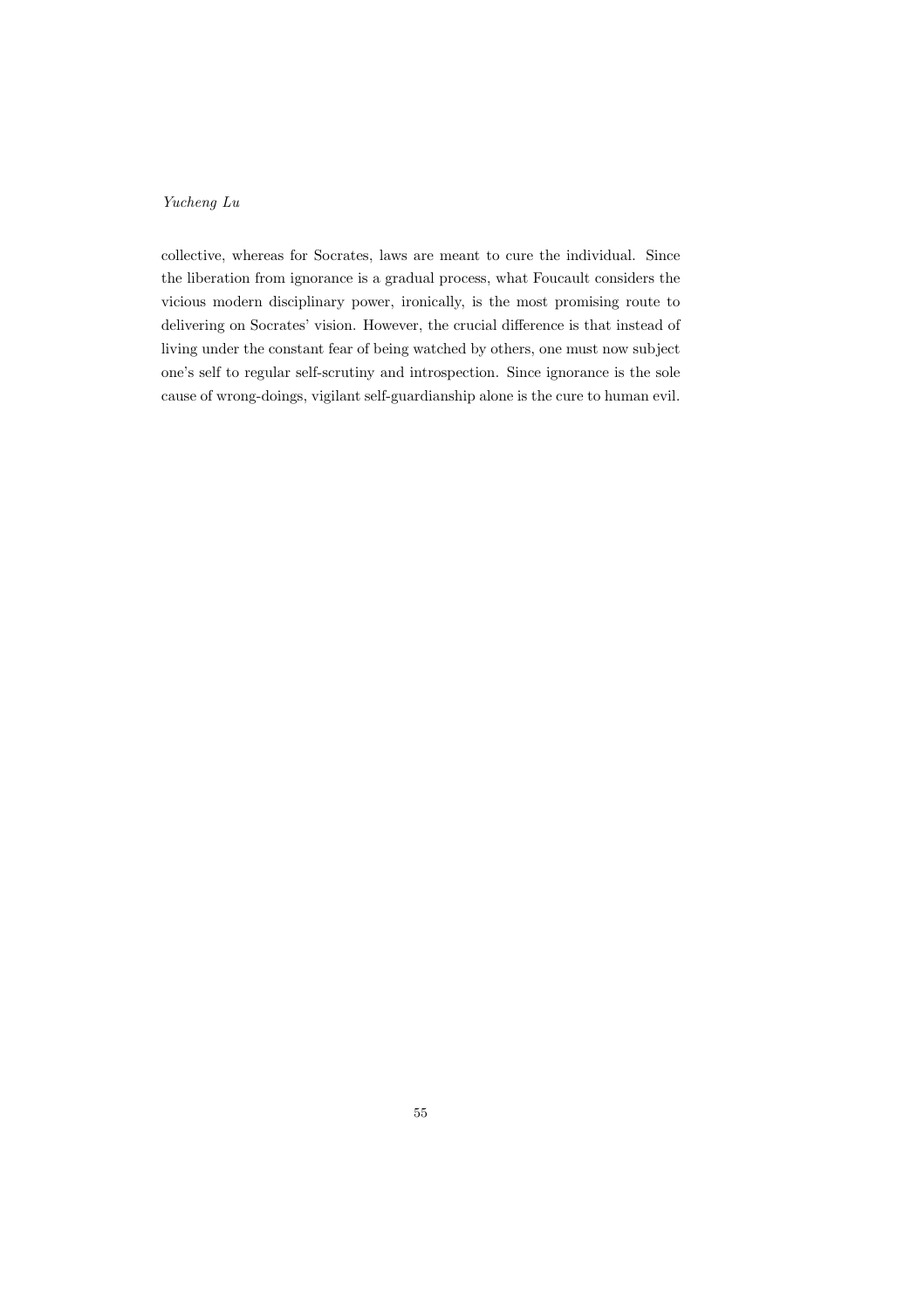collective, whereas for Socrates, laws are meant to cure the individual. Since the liberation from ignorance is a gradual process, what Foucault considers the vicious modern disciplinary power, ironically, is the most promising route to delivering on Socrates' vision. However, the crucial difference is that instead of living under the constant fear of being watched by others, one must now subject one's self to regular self-scrutiny and introspection. Since ignorance is the sole cause of wrong-doings, vigilant self-guardianship alone is the cure to human evil.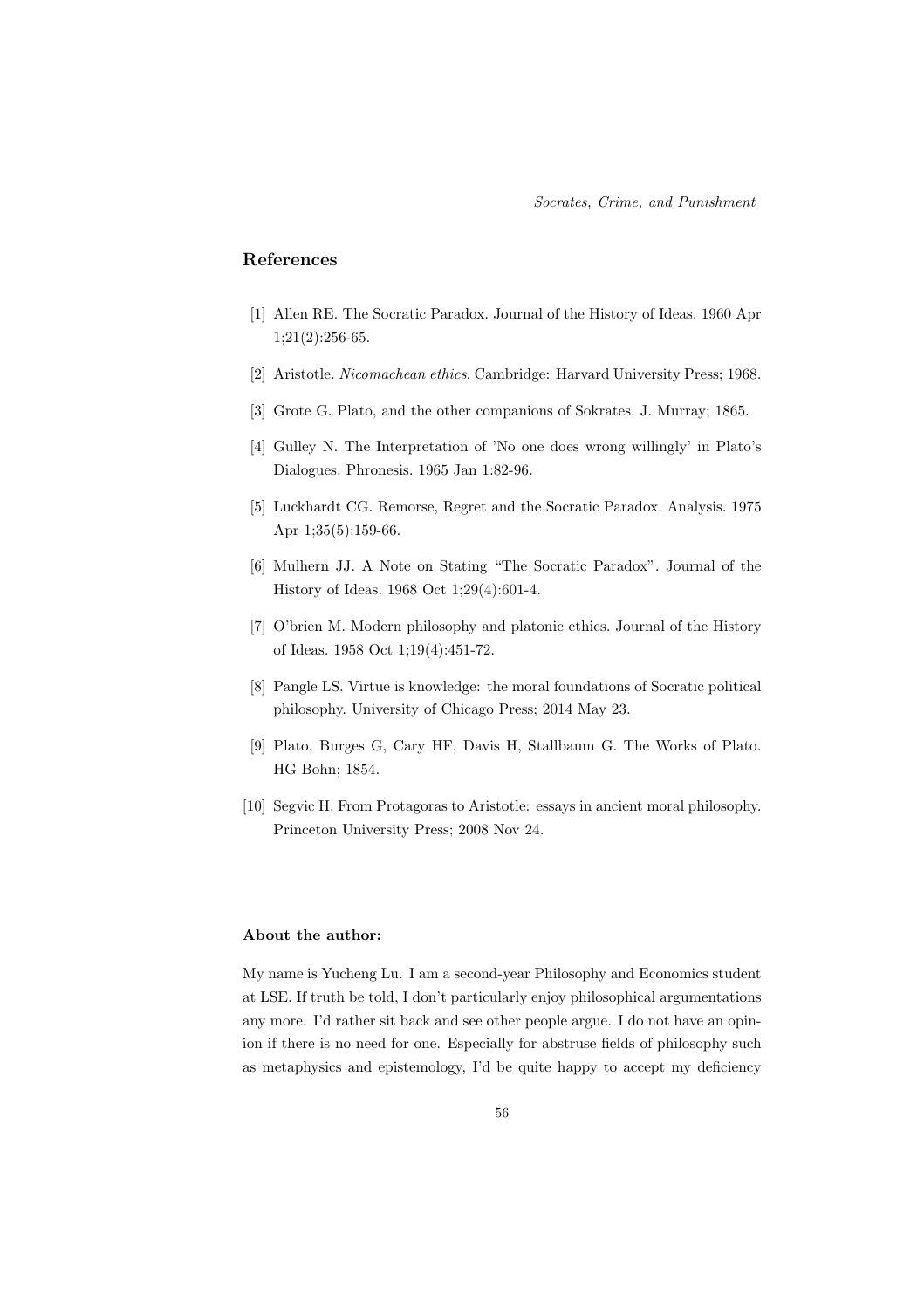## References

- [1] Allen RE. The Socratic Paradox. Journal of the History of Ideas. 1960 Apr 1;21(2):256-65.
- [2] Aristotle. Nicomachean ethics. Cambridge: Harvard University Press; 1968.
- [3] Grote G. Plato, and the other companions of Sokrates. J. Murray; 1865.
- [4] Gulley N. The Interpretation of 'No one does wrong willingly' in Plato's Dialogues. Phronesis. 1965 Jan 1:82-96.
- [5] Luckhardt CG. Remorse, Regret and the Socratic Paradox. Analysis. 1975 Apr 1;35(5):159-66.
- [6] Mulhern JJ. A Note on Stating "The Socratic Paradox". Journal of the History of Ideas. 1968 Oct 1;29(4):601-4.
- [7] O'brien M. Modern philosophy and platonic ethics. Journal of the History of Ideas. 1958 Oct 1;19(4):451-72.
- [8] Pangle LS. Virtue is knowledge: the moral foundations of Socratic political philosophy. University of Chicago Press; 2014 May 23.
- [9] Plato, Burges G, Cary HF, Davis H, Stallbaum G. The Works of Plato. HG Bohn; 1854.
- [10] Segvic H. From Protagoras to Aristotle: essays in ancient moral philosophy. Princeton University Press; 2008 Nov 24.

## About the author:

My name is Yucheng Lu. I am a second-year Philosophy and Economics student at LSE. If truth be told, I don't particularly enjoy philosophical argumentations any more. I'd rather sit back and see other people argue. I do not have an opinion if there is no need for one. Especially for abstruse fields of philosophy such as metaphysics and epistemology, I'd be quite happy to accept my deficiency